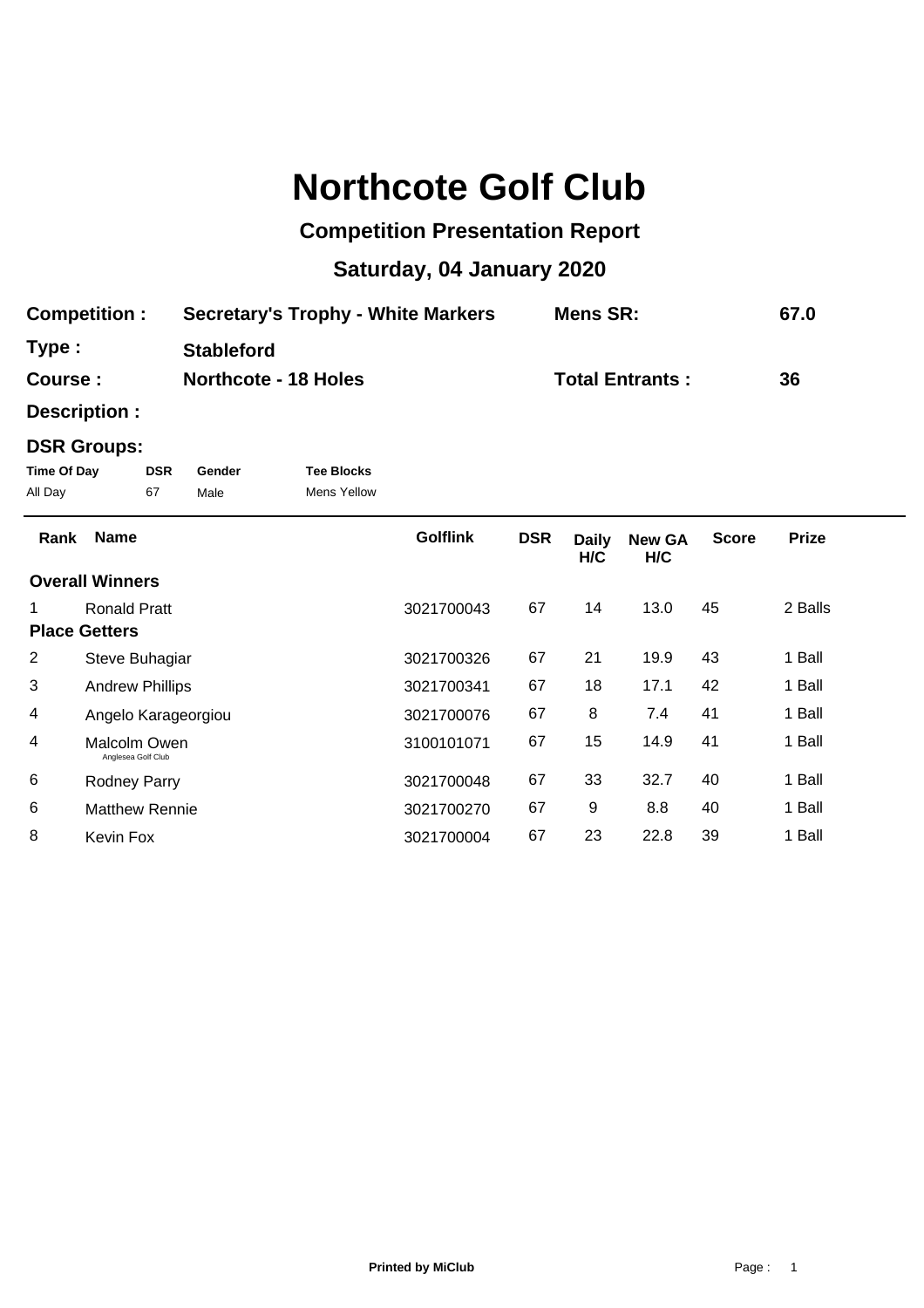## **Northcote Golf Club**

## **Competition Presentation Report**

## **Saturday, 04 January 2020**

| <b>Competition:</b> | <b>Secretary's Trophy - White Markers</b> | <b>Mens SR:</b>        | 67.0 |
|---------------------|-------------------------------------------|------------------------|------|
| Type :              | <b>Stableford</b>                         |                        |      |
| <b>Course :</b>     | <b>Northcote - 18 Holes</b>               | <b>Total Entrants:</b> | 36   |

**Description :**

## **DSR Groups:**

| Time Of Day | <b>DSR</b> | Gender | <b>Tee Blocks</b> |
|-------------|------------|--------|-------------------|
| All Day     | 67         | Male   | Mens Yellow       |

| Rank | <b>Name</b>                        | <b>Golflink</b> | <b>DSR</b> | <b>Daily</b><br>H/C | <b>New GA</b><br>H/C | <b>Score</b> | <b>Prize</b> |  |
|------|------------------------------------|-----------------|------------|---------------------|----------------------|--------------|--------------|--|
|      | <b>Overall Winners</b>             |                 |            |                     |                      |              |              |  |
|      | <b>Ronald Pratt</b>                | 3021700043      | 67         | 14                  | 13.0                 | 45           | 2 Balls      |  |
|      | <b>Place Getters</b>               |                 |            |                     |                      |              |              |  |
| 2    | Steve Buhagiar                     | 3021700326      | 67         | 21                  | 19.9                 | 43           | 1 Ball       |  |
| 3    | <b>Andrew Phillips</b>             | 3021700341      | 67         | 18                  | 17.1                 | 42           | 1 Ball       |  |
| 4    | Angelo Karageorgiou                | 3021700076      | 67         | 8                   | 7.4                  | 41           | 1 Ball       |  |
| 4    | Malcolm Owen<br>Anglesea Golf Club | 3100101071      | 67         | 15                  | 14.9                 | 41           | 1 Ball       |  |
| 6    | <b>Rodney Parry</b>                | 3021700048      | 67         | 33                  | 32.7                 | 40           | 1 Ball       |  |
| 6    | <b>Matthew Rennie</b>              | 3021700270      | 67         | 9                   | 8.8                  | 40           | 1 Ball       |  |
| 8    | Kevin Fox                          | 3021700004      | 67         | 23                  | 22.8                 | 39           | 1 Ball       |  |